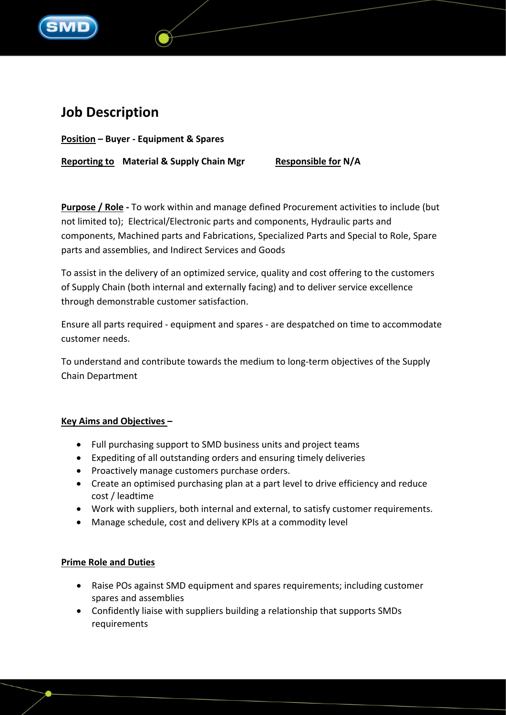

# **Job Description**

**Position – Buyer - Equipment & Spares**

**Reporting to Material & Supply Chain Mgr Responsible for N/A**

**Purpose / Role -** To work within and manage defined Procurement activities to include (but not limited to); Electrical/Electronic parts and components, Hydraulic parts and components, Machined parts and Fabrications, Specialized Parts and Special to Role, Spare parts and assemblies, and Indirect Services and Goods

To assist in the delivery of an optimized service, quality and cost offering to the customers of Supply Chain (both internal and externally facing) and to deliver service excellence through demonstrable customer satisfaction.

Ensure all parts required - equipment and spares - are despatched on time to accommodate customer needs.

To understand and contribute towards the medium to long-term objectives of the Supply Chain Department

## **Key Aims and Objectives –**

- Full purchasing support to SMD business units and project teams
- Expediting of all outstanding orders and ensuring timely deliveries
- Proactively manage customers purchase orders.
- Create an optimised purchasing plan at a part level to drive efficiency and reduce cost / leadtime
- Work with suppliers, both internal and external, to satisfy customer requirements.
- Manage schedule, cost and delivery KPIs at a commodity level

## **Prime Role and Duties**

- Raise POs against SMD equipment and spares requirements; including customer spares and assemblies
- Confidently liaise with suppliers building a relationship that supports SMDs requirements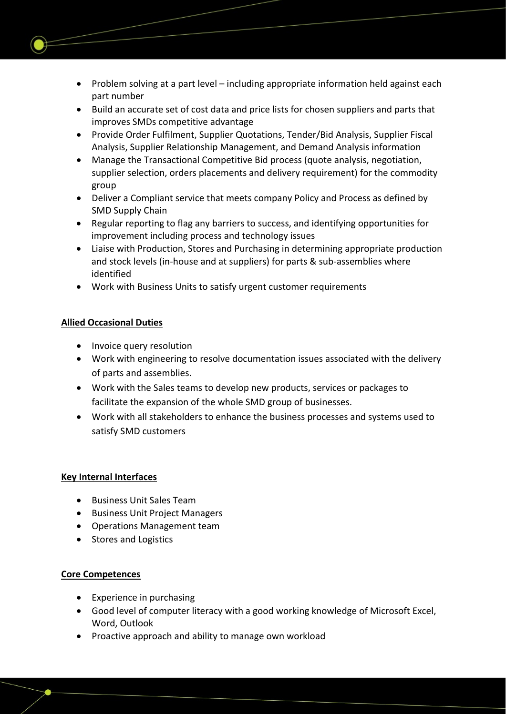- Problem solving at a part level including appropriate information held against each part number
- Build an accurate set of cost data and price lists for chosen suppliers and parts that improves SMDs competitive advantage
- Provide Order Fulfilment, Supplier Quotations, Tender/Bid Analysis, Supplier Fiscal Analysis, Supplier Relationship Management, and Demand Analysis information
- Manage the Transactional Competitive Bid process (quote analysis, negotiation, supplier selection, orders placements and delivery requirement) for the commodity group
- Deliver a Compliant service that meets company Policy and Process as defined by SMD Supply Chain
- Regular reporting to flag any barriers to success, and identifying opportunities for improvement including process and technology issues
- Liaise with Production, Stores and Purchasing in determining appropriate production and stock levels (in-house and at suppliers) for parts & sub-assemblies where identified
- Work with Business Units to satisfy urgent customer requirements

## **Allied Occasional Duties**

- Invoice query resolution
- Work with engineering to resolve documentation issues associated with the delivery of parts and assemblies.
- Work with the Sales teams to develop new products, services or packages to facilitate the expansion of the whole SMD group of businesses.
- Work with all stakeholders to enhance the business processes and systems used to satisfy SMD customers

## **Key Internal Interfaces**

- Business Unit Sales Team
- Business Unit Project Managers
- Operations Management team
- Stores and Logistics

## **Core Competences**

- Experience in purchasing
- Good level of computer literacy with a good working knowledge of Microsoft Excel, Word, Outlook
- Proactive approach and ability to manage own workload